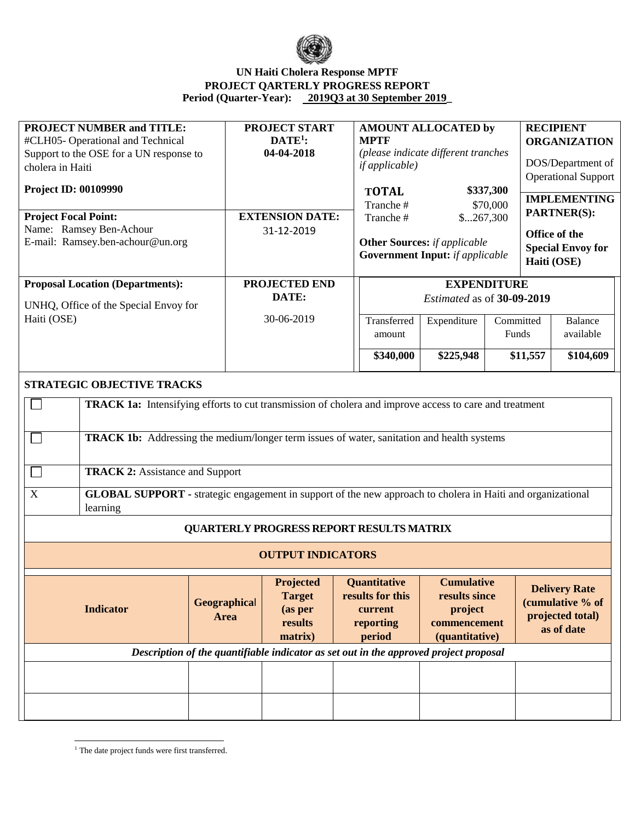

## **UN Haiti Cholera Response MPTF PROJECT QARTERLY PROGRESS REPORT Period (Quarter-Year): 2019Q3 at 30 September 2019\_**

| <b>PROJECT NUMBER and TITLE:</b>                                                                                                                                                                                                                                                                                                                                                                                                                                                         |                                                                                       | <b>PROJECT START</b>                                               |  | <b>AMOUNT ALLOCATED by</b>                                                |                                                                                 |           |                            | <b>RECIPIENT</b>                                                           |  |  |  |  |
|------------------------------------------------------------------------------------------------------------------------------------------------------------------------------------------------------------------------------------------------------------------------------------------------------------------------------------------------------------------------------------------------------------------------------------------------------------------------------------------|---------------------------------------------------------------------------------------|--------------------------------------------------------------------|--|---------------------------------------------------------------------------|---------------------------------------------------------------------------------|-----------|----------------------------|----------------------------------------------------------------------------|--|--|--|--|
| #CLH05-Operational and Technical                                                                                                                                                                                                                                                                                                                                                                                                                                                         |                                                                                       | $DATE1$ :                                                          |  | <b>MPTF</b>                                                               |                                                                                 |           |                            | <b>ORGANIZATION</b>                                                        |  |  |  |  |
| Support to the OSE for a UN response to                                                                                                                                                                                                                                                                                                                                                                                                                                                  |                                                                                       | 04-04-2018                                                         |  | (please indicate different tranches                                       |                                                                                 |           |                            |                                                                            |  |  |  |  |
| cholera in Haiti                                                                                                                                                                                                                                                                                                                                                                                                                                                                         |                                                                                       |                                                                    |  | <i>if applicable</i> )                                                    |                                                                                 |           | DOS/Department of          |                                                                            |  |  |  |  |
|                                                                                                                                                                                                                                                                                                                                                                                                                                                                                          |                                                                                       |                                                                    |  |                                                                           |                                                                                 |           | <b>Operational Support</b> |                                                                            |  |  |  |  |
| <b>Project ID: 00109990</b>                                                                                                                                                                                                                                                                                                                                                                                                                                                              |                                                                                       |                                                                    |  | \$337,300<br><b>TOTAL</b>                                                 |                                                                                 |           | <b>IMPLEMENTING</b>        |                                                                            |  |  |  |  |
|                                                                                                                                                                                                                                                                                                                                                                                                                                                                                          |                                                                                       |                                                                    |  | Tranche#                                                                  |                                                                                 | \$70,000  |                            |                                                                            |  |  |  |  |
| <b>Project Focal Point:</b>                                                                                                                                                                                                                                                                                                                                                                                                                                                              |                                                                                       | <b>EXTENSION DATE:</b>                                             |  | Tranche#<br>\$267,300                                                     |                                                                                 |           |                            | PARTNER(S):                                                                |  |  |  |  |
| Name: Ramsey Ben-Achour                                                                                                                                                                                                                                                                                                                                                                                                                                                                  |                                                                                       | 31-12-2019                                                         |  |                                                                           |                                                                                 |           |                            | Office of the                                                              |  |  |  |  |
| E-mail: Ramsey.ben-achour@un.org                                                                                                                                                                                                                                                                                                                                                                                                                                                         |                                                                                       |                                                                    |  | <b>Other Sources:</b> if applicable                                       |                                                                                 |           |                            | <b>Special Envoy for</b>                                                   |  |  |  |  |
|                                                                                                                                                                                                                                                                                                                                                                                                                                                                                          |                                                                                       |                                                                    |  | <b>Government Input:</b> if applicable                                    |                                                                                 |           | Haiti (OSE)                |                                                                            |  |  |  |  |
|                                                                                                                                                                                                                                                                                                                                                                                                                                                                                          |                                                                                       |                                                                    |  |                                                                           |                                                                                 |           |                            |                                                                            |  |  |  |  |
| <b>Proposal Location (Departments):</b>                                                                                                                                                                                                                                                                                                                                                                                                                                                  |                                                                                       | PROJECTED END                                                      |  | <b>EXPENDITURE</b>                                                        |                                                                                 |           |                            |                                                                            |  |  |  |  |
|                                                                                                                                                                                                                                                                                                                                                                                                                                                                                          |                                                                                       | DATE:                                                              |  | Estimated as of 30-09-2019                                                |                                                                                 |           |                            |                                                                            |  |  |  |  |
| UNHQ, Office of the Special Envoy for                                                                                                                                                                                                                                                                                                                                                                                                                                                    |                                                                                       |                                                                    |  |                                                                           |                                                                                 |           |                            |                                                                            |  |  |  |  |
| Haiti (OSE)                                                                                                                                                                                                                                                                                                                                                                                                                                                                              |                                                                                       | 30-06-2019<br>Transferred<br>amount                                |  |                                                                           | Expenditure                                                                     | Committed |                            | <b>Balance</b>                                                             |  |  |  |  |
|                                                                                                                                                                                                                                                                                                                                                                                                                                                                                          |                                                                                       |                                                                    |  |                                                                           | Funds<br>available                                                              |           |                            |                                                                            |  |  |  |  |
|                                                                                                                                                                                                                                                                                                                                                                                                                                                                                          |                                                                                       |                                                                    |  |                                                                           |                                                                                 |           |                            |                                                                            |  |  |  |  |
|                                                                                                                                                                                                                                                                                                                                                                                                                                                                                          |                                                                                       |                                                                    |  | \$340,000                                                                 | \$225,948                                                                       |           | \$11,557                   | \$104,609                                                                  |  |  |  |  |
| <b>TRACK 1a:</b> Intensifying efforts to cut transmission of cholera and improve access to care and treatment<br>TRACK 1b: Addressing the medium/longer term issues of water, sanitation and health systems<br><b>TRACK 2: Assistance and Support</b><br>$\Box$<br>$\mathbf X$<br>GLOBAL SUPPORT - strategic engagement in support of the new approach to cholera in Haiti and organizational<br>learning<br><b>QUARTERLY PROGRESS REPORT RESULTS MATRIX</b><br><b>OUTPUT INDICATORS</b> |                                                                                       |                                                                    |  |                                                                           |                                                                                 |           |                            |                                                                            |  |  |  |  |
| <b>Indicator</b>                                                                                                                                                                                                                                                                                                                                                                                                                                                                         | Geographical<br>Area                                                                  | <b>Projected</b><br><b>Target</b><br>(as per<br>results<br>matrix) |  | <b>Quantitative</b><br>results for this<br>current<br>reporting<br>period | <b>Cumulative</b><br>results since<br>project<br>commencement<br>(quantitative) |           |                            | <b>Delivery Rate</b><br>(cumulative % of<br>projected total)<br>as of date |  |  |  |  |
|                                                                                                                                                                                                                                                                                                                                                                                                                                                                                          | Description of the quantifiable indicator as set out in the approved project proposal |                                                                    |  |                                                                           |                                                                                 |           |                            |                                                                            |  |  |  |  |
|                                                                                                                                                                                                                                                                                                                                                                                                                                                                                          |                                                                                       |                                                                    |  |                                                                           |                                                                                 |           |                            |                                                                            |  |  |  |  |
|                                                                                                                                                                                                                                                                                                                                                                                                                                                                                          |                                                                                       |                                                                    |  |                                                                           |                                                                                 |           |                            |                                                                            |  |  |  |  |
|                                                                                                                                                                                                                                                                                                                                                                                                                                                                                          |                                                                                       |                                                                    |  |                                                                           |                                                                                 |           |                            |                                                                            |  |  |  |  |
|                                                                                                                                                                                                                                                                                                                                                                                                                                                                                          |                                                                                       |                                                                    |  |                                                                           |                                                                                 |           |                            |                                                                            |  |  |  |  |
|                                                                                                                                                                                                                                                                                                                                                                                                                                                                                          |                                                                                       |                                                                    |  |                                                                           |                                                                                 |           |                            |                                                                            |  |  |  |  |

 $\overline{a}$ <sup>1</sup> The date project funds were first transferred.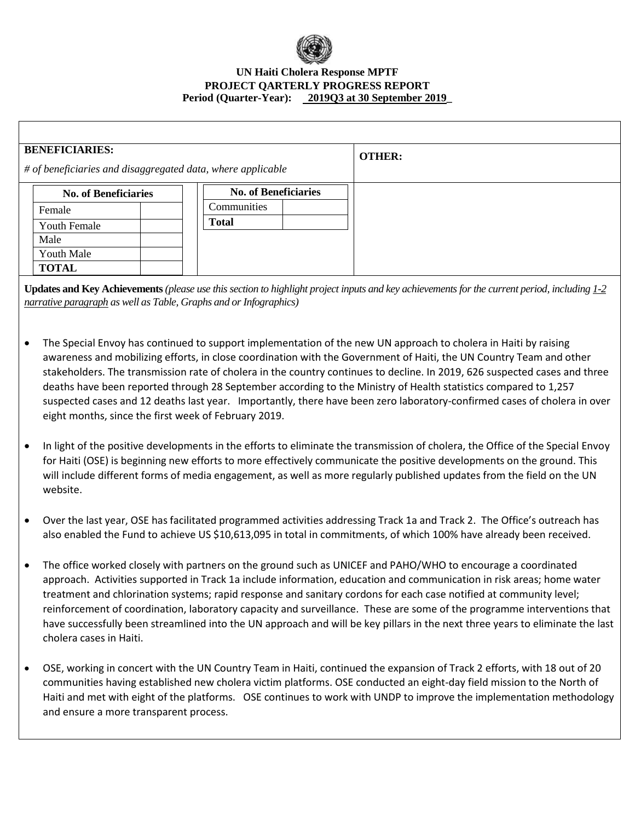

## **UN Haiti Cholera Response MPTF PROJECT QARTERLY PROGRESS REPORT Period (Quarter-Year): 2019Q3 at 30 September 2019\_**

| <b>BENEFICIARIES:</b><br># of beneficiaries and disaggregated data, where applicable |                             |  |  |                             | <b>OTHER:</b> |  |
|--------------------------------------------------------------------------------------|-----------------------------|--|--|-----------------------------|---------------|--|
|                                                                                      | <b>No. of Beneficiaries</b> |  |  | <b>No. of Beneficiaries</b> |               |  |
|                                                                                      | Female                      |  |  | Communities                 |               |  |
|                                                                                      | <b>Youth Female</b>         |  |  | <b>Total</b>                |               |  |
|                                                                                      | Male                        |  |  |                             |               |  |
|                                                                                      | Youth Male                  |  |  |                             |               |  |
|                                                                                      | <b>TOTAL</b>                |  |  |                             |               |  |

**Updates and Key Achievements** *(please use this section to highlight project inputs and key achievements for the current period, including 1-2 narrative paragraph as well as Table, Graphs and or Infographics)*

- The Special Envoy has continued to support implementation of the new UN approach to cholera in Haiti by raising awareness and mobilizing efforts, in close coordination with the Government of Haiti, the UN Country Team and other stakeholders. The transmission rate of cholera in the country continues to decline. In 2019, 626 suspected cases and three deaths have been reported through 28 September according to the Ministry of Health statistics compared to 1,257 suspected cases and 12 deaths last year. Importantly, there have been zero laboratory-confirmed cases of cholera in over eight months, since the first week of February 2019.
- In light of the positive developments in the efforts to eliminate the transmission of cholera, the Office of the Special Envoy for Haiti (OSE) is beginning new efforts to more effectively communicate the positive developments on the ground. This will include different forms of media engagement, as well as more regularly published updates from the field on the UN website.
- Over the last year, OSE has facilitated programmed activities addressing Track 1a and Track 2. The Office's outreach has also enabled the Fund to achieve US \$10,613,095 in total in commitments, of which 100% have already been received.
- The office worked closely with partners on the ground such as UNICEF and PAHO/WHO to encourage a coordinated approach. Activities supported in Track 1a include information, education and communication in risk areas; home water treatment and chlorination systems; rapid response and sanitary cordons for each case notified at community level; reinforcement of coordination, laboratory capacity and surveillance. These are some of the programme interventions that have successfully been streamlined into the UN approach and will be key pillars in the next three years to eliminate the last cholera cases in Haiti.
- OSE, working in concert with the UN Country Team in Haiti, continued the expansion of Track 2 efforts, with 18 out of 20 communities having established new cholera victim platforms. OSE conducted an eight-day field mission to the North of Haiti and met with eight of the platforms. OSE continues to work with UNDP to improve the implementation methodology and ensure a more transparent process.